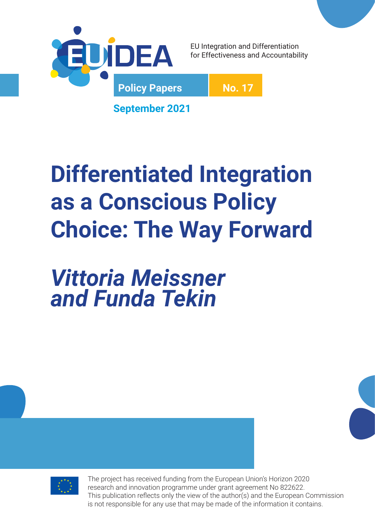

EU Integration and Differentiation for Effectiveness and Accountability

**No. 17**

**September 2021**

# **Differentiated Integration as a Conscious Policy Choice: The Way Forward**

*Vittoria Meissner and Funda Tekin*



The project has received funding from the European Union's Horizon 2020 research and innovation programme under grant agreement No 822622. This publication reflects only the view of the author(s) and the European Commission is not responsible for any use that may be made of the information it contains.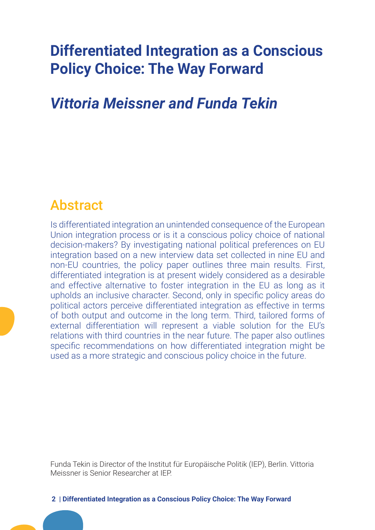## **Differentiated Integration as a Conscious Policy Choice: The Way Forward**

#### *Vittoria Meissner and Funda Tekin*

#### Abstract

Is differentiated integration an unintended consequence of the European Union integration process or is it a conscious policy choice of national decision-makers? By investigating national political preferences on EU integration based on a new interview data set collected in nine EU and non-EU countries, the policy paper outlines three main results. First, differentiated integration is at present widely considered as a desirable and effective alternative to foster integration in the EU as long as it upholds an inclusive character. Second, only in specific policy areas do political actors perceive differentiated integration as effective in terms of both output and outcome in the long term. Third, tailored forms of external differentiation will represent a viable solution for the EU's relations with third countries in the near future. The paper also outlines specific recommendations on how differentiated integration might be used as a more strategic and conscious policy choice in the future.

Funda Tekin is Director of the Institut für Europäische Politik (IEP), Berlin. Vittoria Meissner is Senior Researcher at IEP.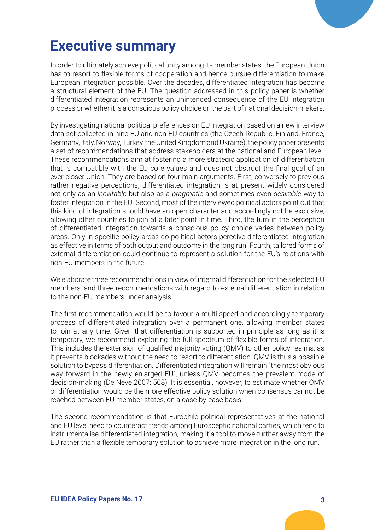

## **Executive summary**

In order to ultimately achieve political unity among its member states, the European Union has to resort to flexible forms of cooperation and hence pursue differentiation to make European integration possible. Over the decades, differentiated integration has become a structural element of the EU. The question addressed in this policy paper is whether differentiated integration represents an unintended consequence of the EU integration process or whether it is a conscious policy choice on the part of national decision-makers.

By investigating national political preferences on EU integration based on a new interview data set collected in nine EU and non-EU countries (the Czech Republic, Finland, France, Germany, Italy, Norway, Turkey, the United Kingdom and Ukraine), the policy paper presents a set of recommendations that address stakeholders at the national and European level. These recommendations aim at fostering a more strategic application of differentiation that is compatible with the EU core values and does not obstruct the final goal of an ever closer Union. They are based on four main arguments. First, conversely to previous rather negative perceptions, differentiated integration is at present widely considered not only as an *inevitable* but also as a *pragmatic* and sometimes even *desirable* way to foster integration in the EU. Second, most of the interviewed political actors point out that this kind of integration should have an open character and accordingly not be exclusive, allowing other countries to join at a later point in time. Third, the turn in the perception of differentiated integration towards a conscious policy choice varies between policy areas. Only in specific policy areas do political actors perceive differentiated integration as effective in terms of both output and outcome in the long run. Fourth, tailored forms of external differentiation could continue to represent a solution for the EU's relations with non-EU members in the future.

We elaborate three recommendations in view of internal differentiation for the selected EU members, and three recommendations with regard to external differentiation in relation to the non-EU members under analysis.

The first recommendation would be to favour a multi-speed and accordingly temporary process of differentiated integration over a permanent one, allowing member states to join at any time. Given that differentiation is supported in principle as long as it is temporary, we recommend exploiting the full spectrum of flexible forms of integration. This includes the extension of qualified majority voting (QMV) to other policy realms, as it prevents blockades without the need to resort to differentiation. QMV is thus a possible solution to bypass differentiation. Differentiated integration will remain "the most obvious way forward in the newly enlarged EU", unless QMV becomes the prevalent mode of decision-making (De Neve 2007: 508). It is essential, however, to estimate whether QMV or differentiation would be the more effective policy solution when consensus cannot be reached between EU member states, on a case-by-case basis.

The second recommendation is that Europhile political representatives at the national and EU level need to counteract trends among Eurosceptic national parties, which tend to instrumentalise differentiated integration, making it a tool to move further away from the EU rather than a flexible temporary solution to achieve more integration in the long run.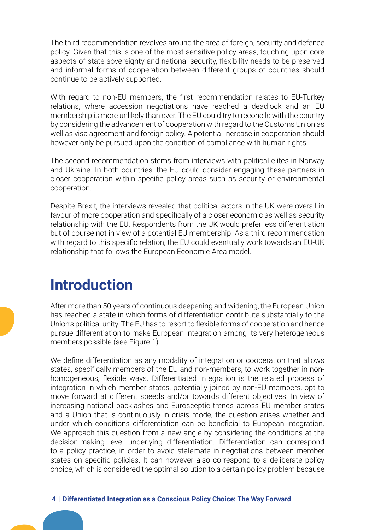The third recommendation revolves around the area of foreign, security and defence policy. Given that this is one of the most sensitive policy areas, touching upon core aspects of state sovereignty and national security, flexibility needs to be preserved and informal forms of cooperation between different groups of countries should continue to be actively supported.

With regard to non-EU members, the first recommendation relates to EU-Turkey relations, where accession negotiations have reached a deadlock and an EU membership is more unlikely than ever. The EU could try to reconcile with the country by considering the advancement of cooperation with regard to the Customs Union as well as visa agreement and foreign policy. A potential increase in cooperation should however only be pursued upon the condition of compliance with human rights.

The second recommendation stems from interviews with political elites in Norway and Ukraine. In both countries, the EU could consider engaging these partners in closer cooperation within specific policy areas such as security or environmental cooperation.

Despite Brexit, the interviews revealed that political actors in the UK were overall in favour of more cooperation and specifically of a closer economic as well as security relationship with the EU. Respondents from the UK would prefer less differentiation but of course not in view of a potential EU membership. As a third recommendation with regard to this specific relation, the EU could eventually work towards an EU-UK relationship that follows the European Economic Area model.

#### **Introduction**

After more than 50 years of continuous deepening and widening, the European Union has reached a state in which forms of differentiation contribute substantially to the Union's political unity. The EU has to resort to flexible forms of cooperation and hence pursue differentiation to make European integration among its very heterogeneous members possible (see Figure 1).

We define differentiation as any modality of integration or cooperation that allows states, specifically members of the EU and non-members, to work together in nonhomogeneous, flexible ways. Differentiated integration is the related process of integration in which member states, potentially joined by non-EU members, opt to move forward at different speeds and/or towards different objectives. In view of increasing national backlashes and Eurosceptic trends across EU member states and a Union that is continuously in crisis mode, the question arises whether and under which conditions differentiation can be beneficial to European integration. We approach this question from a new angle by considering the conditions at the decision-making level underlying differentiation. Differentiation can correspond to a policy practice, in order to avoid stalemate in negotiations between member states on specific policies. It can however also correspond to a deliberate policy choice, which is considered the optimal solution to a certain policy problem because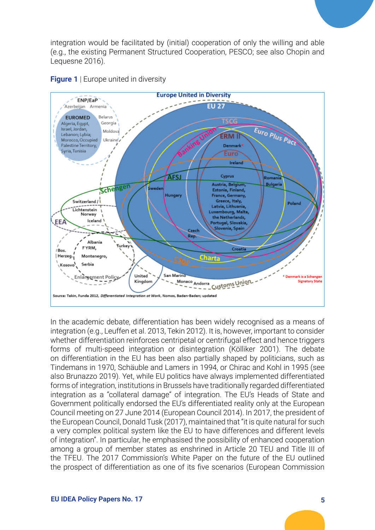integration would be facilitated by (initial) cooperation of only the willing and able (e.g., the existing Permanent Structured Cooperation, PESCO; see also Chopin and Lequesne 2016).





In the academic debate, differentiation has been widely recognised as a means of integration (e.g., Leuffen et al. 2013, Tekin 2012). It is, however, important to consider whether differentiation reinforces centripetal or centrifugal effect and hence triggers forms of multi-speed integration or disintegration (Kölliker 2001). The debate on differentiation in the EU has been also partially shaped by politicians, such as Tindemans in 1970, Schäuble and Lamers in 1994, or Chirac and Kohl in 1995 (see also Brunazzo 2019). Yet, while EU politics have always implemented differentiated forms of integration, institutions in Brussels have traditionally regarded differentiated integration as a "collateral damage" of integration. The EU's Heads of State and Government politically endorsed the EU's differentiated reality only at the European Council meeting on 27 June 2014 (European Council 2014). In 2017, the president of the European Council, Donald Tusk (2017), maintained that "it is quite natural for such a very complex political system like the EU to have differences and different levels of integration". In particular, he emphasised the possibility of enhanced cooperation among a group of member states as enshrined in Article 20 TEU and Title III of the TFEU. The 2017 Commission's White Paper on the future of the EU outlined the prospect of differentiation as one of its five scenarios (European Commission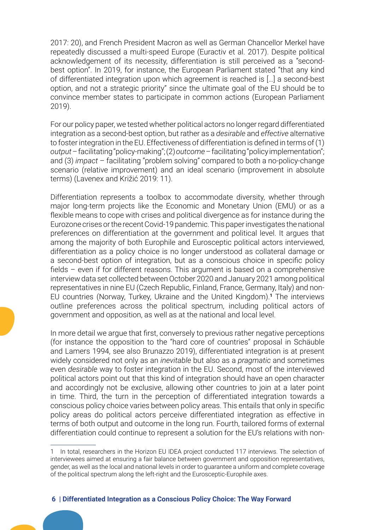2017: 20), and French President Macron as well as German Chancellor Merkel have repeatedly discussed a multi-speed Europe (Euractiv et al. 2017). Despite political acknowledgement of its necessity, differentiation is still perceived as a "secondbest option". In 2019, for instance, the European Parliament stated "that any kind of differentiated integration upon which agreement is reached is […] a second-best option, and not a strategic priority" since the ultimate goal of the EU should be to convince member states to participate in common actions (European Parliament 2019).

For our policy paper, we tested whether political actors no longer regard differentiated integration as a second-best option, but rather as a *desirable* and *effective* alternative to foster integration in the EU. Effectiveness of differentiation is defined in terms of (1) *output* – facilitating "policy-making"; (2) *outcome* – facilitating "policy implementation"; and (3) *impact* – facilitating "problem solving" compared to both a no-policy-change scenario (relative improvement) and an ideal scenario (improvement in absolute terms) (Lavenex and Križić 2019: 11).

Differentiation represents a toolbox to accommodate diversity, whether through major long-term projects like the Economic and Monetary Union (EMU) or as a flexible means to cope with crises and political divergence as for instance during the Eurozone crises or the recent Covid-19 pandemic. This paper investigates the national preferences on differentiation at the government and political level. It argues that among the majority of both Europhile and Eurosceptic political actors interviewed, differentiation as a policy choice is no longer understood as collateral damage or a second-best option of integration, but as a conscious choice in specific policy fields – even if for different reasons. This argument is based on a comprehensive interview data set collected between October 2020 and January 2021 among political representatives in nine EU (Czech Republic, Finland, France, Germany, Italy) and non-EU countries (Norway, Turkey, Ukraine and the United Kingdom).**<sup>1</sup>** The interviews outline preferences across the political spectrum, including political actors of government and opposition, as well as at the national and local level.

In more detail we argue that first, conversely to previous rather negative perceptions (for instance the opposition to the "hard core of countries" proposal in Schäuble and Lamers 1994, see also Brunazzo 2019), differentiated integration is at present widely considered not only as an *inevitable* but also as a *pragmatic* and sometimes even *desirable* way to foster integration in the EU. Second, most of the interviewed political actors point out that this kind of integration should have an open character and accordingly not be exclusive, allowing other countries to join at a later point in time. Third, the turn in the perception of differentiated integration towards a conscious policy choice varies between policy areas. This entails that only in specific policy areas do political actors perceive differentiated integration as effective in terms of both output and outcome in the long run. Fourth, tailored forms of external differentiation could continue to represent a solution for the EU's relations with non-

<sup>1</sup> In total, researchers in the Horizon EU IDEA project conducted 117 interviews. The selection of interviewees aimed at ensuring a fair balance between government and opposition representatives, gender, as well as the local and national levels in order to guarantee a uniform and complete coverage of the political spectrum along the left-right and the Eurosceptic-Europhile axes.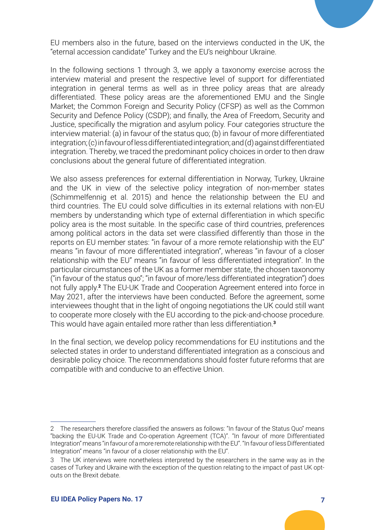

In the following sections 1 through 3, we apply a taxonomy exercise across the interview material and present the respective level of support for differentiated integration in general terms as well as in three policy areas that are already differentiated. These policy areas are the aforementioned EMU and the Single Market; the Common Foreign and Security Policy (CFSP) as well as the Common Security and Defence Policy (CSDP); and finally, the Area of Freedom, Security and Justice, specifically the migration and asylum policy. Four categories structure the interview material: (a) in favour of the status quo; (b) in favour of more differentiated integration; (c) in favour of less differentiated integration; and (d) against differentiated integration. Thereby, we traced the predominant policy choices in order to then draw conclusions about the general future of differentiated integration.

We also assess preferences for external differentiation in Norway, Turkey, Ukraine and the UK in view of the selective policy integration of non-member states (Schimmelfennig et al. 2015) and hence the relationship between the EU and third countries. The EU could solve difficulties in its external relations with non-EU members by understanding which type of external differentiation in which specific policy area is the most suitable. In the specific case of third countries, preferences among political actors in the data set were classified differently than those in the reports on EU member states: "in favour of a more remote relationship with the EU" means "in favour of more differentiated integration", whereas "in favour of a closer relationship with the EU" means "in favour of less differentiated integration". In the particular circumstances of the UK as a former member state, the chosen taxonomy ("in favour of the status quo"; "in favour of more/less differentiated integration") does not fully apply.**<sup>2</sup>** The EU-UK Trade and Cooperation Agreement entered into force in May 2021, after the interviews have been conducted. Before the agreement, some interviewees thought that in the light of ongoing negotiations the UK could still want to cooperate more closely with the EU according to the pick-and-choose procedure. This would have again entailed more rather than less differentiation.**<sup>3</sup>**

In the final section, we develop policy recommendations for EU institutions and the selected states in order to understand differentiated integration as a conscious and desirable policy choice. The recommendations should foster future reforms that are compatible with and conducive to an effective Union.

<sup>2</sup> The researchers therefore classified the answers as follows: "In favour of the Status Quo" means "backing the EU-UK Trade and Co-operation Agreement (TCA)". "In favour of more Differentiated Integration" means "in favour of a more remote relationship with the EU". "In favour of less Differentiated Integration" means "in favour of a closer relationship with the EU".

<sup>3</sup> The UK interviews were nonetheless interpreted by the researchers in the same way as in the cases of Turkey and Ukraine with the exception of the question relating to the impact of past UK optouts on the Brexit debate.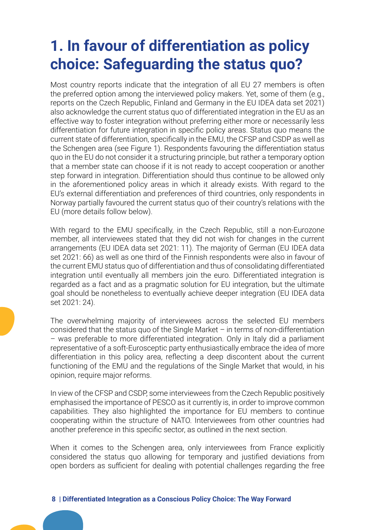# **1. In favour of differentiation as policy choice: Safeguarding the status quo?**

Most country reports indicate that the integration of all EU 27 members is often the preferred option among the interviewed policy makers. Yet, some of them (e.g., reports on the Czech Republic, Finland and Germany in the EU IDEA data set 2021) also acknowledge the current status quo of differentiated integration in the EU as an effective way to foster integration without preferring either more or necessarily less differentiation for future integration in specific policy areas. Status quo means the current state of differentiation, specifically in the EMU, the CFSP and CSDP as well as the Schengen area (see Figure 1). Respondents favouring the differentiation status quo in the EU do not consider it a structuring principle, but rather a temporary option that a member state can choose if it is not ready to accept cooperation or another step forward in integration. Differentiation should thus continue to be allowed only in the aforementioned policy areas in which it already exists. With regard to the EU's external differentiation and preferences of third countries, only respondents in Norway partially favoured the current status quo of their country's relations with the EU (more details follow below).

With regard to the EMU specifically, in the Czech Republic, still a non-Eurozone member, all interviewees stated that they did not wish for changes in the current arrangements (EU IDEA data set 2021: 11). The majority of German (EU IDEA data set 2021: 66) as well as one third of the Finnish respondents were also in favour of the current EMU status quo of differentiation and thus of consolidating differentiated integration until eventually all members join the euro. Differentiated integration is regarded as a fact and as a pragmatic solution for EU integration, but the ultimate goal should be nonetheless to eventually achieve deeper integration (EU IDEA data set 2021: 24).

The overwhelming majority of interviewees across the selected EU members considered that the status quo of the Single Market – in terms of non-differentiation – was preferable to more differentiated integration. Only in Italy did a parliament representative of a soft-Eurosceptic party enthusiastically embrace the idea of more differentiation in this policy area, reflecting a deep discontent about the current functioning of the EMU and the regulations of the Single Market that would, in his opinion, require major reforms.

In view of the CFSP and CSDP, some interviewees from the Czech Republic positively emphasised the importance of PESCO as it currently is, in order to improve common capabilities. They also highlighted the importance for EU members to continue cooperating within the structure of NATO. Interviewees from other countries had another preference in this specific sector, as outlined in the next section.

When it comes to the Schengen area, only interviewees from France explicitly considered the status quo allowing for temporary and justified deviations from open borders as sufficient for dealing with potential challenges regarding the free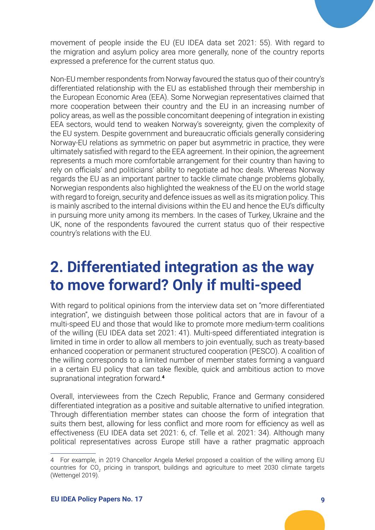movement of people inside the EU (EU IDEA data set 2021: 55). With regard to the migration and asylum policy area more generally, none of the country reports expressed a preference for the current status quo.

Non-EU member respondents from Norway favoured the status quo of their country's differentiated relationship with the EU as established through their membership in the European Economic Area (EEA). Some Norwegian representatives claimed that more cooperation between their country and the EU in an increasing number of policy areas, as well as the possible concomitant deepening of integration in existing EEA sectors, would tend to weaken Norway's sovereignty, given the complexity of the EU system. Despite government and bureaucratic officials generally considering Norway-EU relations as symmetric on paper but asymmetric in practice, they were ultimately satisfied with regard to the EEA agreement. In their opinion, the agreement represents a much more comfortable arrangement for their country than having to rely on officials' and politicians' ability to negotiate ad hoc deals. Whereas Norway regards the EU as an important partner to tackle climate change problems globally, Norwegian respondents also highlighted the weakness of the EU on the world stage with regard to foreign, security and defence issues as well as its migration policy. This is mainly ascribed to the internal divisions within the EU and hence the EU's difficulty in pursuing more unity among its members. In the cases of Turkey, Ukraine and the UK, none of the respondents favoured the current status quo of their respective country's relations with the EU.

## **2. Differentiated integration as the way to move forward? Only if multi-speed**

With regard to political opinions from the interview data set on "more differentiated integration", we distinguish between those political actors that are in favour of a multi-speed EU and those that would like to promote more medium-term coalitions of the willing (EU IDEA data set 2021: 41). Multi-speed differentiated integration is limited in time in order to allow all members to join eventually, such as treaty-based enhanced cooperation or permanent structured cooperation (PESCO). A coalition of the willing corresponds to a limited number of member states forming a vanguard in a certain EU policy that can take flexible, quick and ambitious action to move supranational integration forward.**<sup>4</sup>**

Overall, interviewees from the Czech Republic, France and Germany considered differentiated integration as a positive and suitable alternative to unified integration. Through differentiation member states can choose the form of integration that suits them best, allowing for less conflict and more room for efficiency as well as effectiveness (EU IDEA data set 2021: 6, cf. Telle et al. 2021: 34). Although many political representatives across Europe still have a rather pragmatic approach

<sup>4</sup> For example, in 2019 Chancellor Angela Merkel proposed a coalition of the willing among EU countries for CO<sub>2</sub> pricing in transport, buildings and agriculture to meet 2030 climate targets (Wettengel 2019).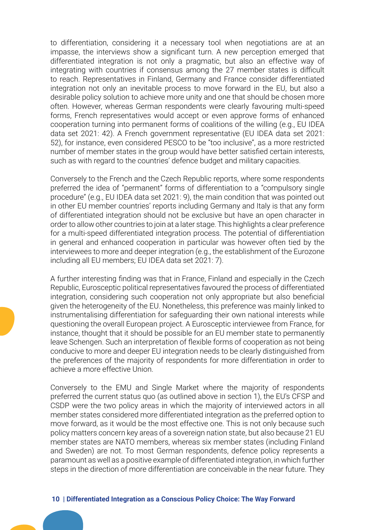to differentiation, considering it a necessary tool when negotiations are at an impasse, the interviews show a significant turn. A new perception emerged that differentiated integration is not only a pragmatic, but also an effective way of integrating with countries if consensus among the 27 member states is difficult to reach. Representatives in Finland, Germany and France consider differentiated integration not only an inevitable process to move forward in the EU, but also a desirable policy solution to achieve more unity and one that should be chosen more often. However, whereas German respondents were clearly favouring multi-speed forms, French representatives would accept or even approve forms of enhanced cooperation turning into permanent forms of coalitions of the willing (e.g., EU IDEA data set 2021: 42). A French government representative (EU IDEA data set 2021: 52), for instance, even considered PESCO to be "too inclusive", as a more restricted number of member states in the group would have better satisfied certain interests, such as with regard to the countries' defence budget and military capacities.

Conversely to the French and the Czech Republic reports, where some respondents preferred the idea of "permanent" forms of differentiation to a "compulsory single procedure" (e.g., EU IDEA data set 2021: 9), the main condition that was pointed out in other EU member countries' reports including Germany and Italy is that any form of differentiated integration should not be exclusive but have an open character in order to allow other countries to join at a later stage. This highlights a clear preference for a multi-speed differentiated integration process. The potential of differentiation in general and enhanced cooperation in particular was however often tied by the interviewees to more and deeper integration (e.g., the establishment of the Eurozone including all EU members; EU IDEA data set 2021: 7).

A further interesting finding was that in France, Finland and especially in the Czech Republic, Eurosceptic political representatives favoured the process of differentiated integration, considering such cooperation not only appropriate but also beneficial given the heterogeneity of the EU. Nonetheless, this preference was mainly linked to instrumentalising differentiation for safeguarding their own national interests while questioning the overall European project. A Eurosceptic interviewee from France, for instance, thought that it should be possible for an EU member state to permanently leave Schengen. Such an interpretation of flexible forms of cooperation as not being conducive to more and deeper EU integration needs to be clearly distinguished from the preferences of the majority of respondents for more differentiation in order to achieve a more effective Union.

Conversely to the EMU and Single Market where the majority of respondents preferred the current status quo (as outlined above in section 1), the EU's CFSP and CSDP were the two policy areas in which the majority of interviewed actors in all member states considered more differentiated integration as the preferred option to move forward, as it would be the most effective one. This is not only because such policy matters concern key areas of a sovereign nation state, but also because 21 EU member states are NATO members, whereas six member states (including Finland and Sweden) are not. To most German respondents, defence policy represents a paramount as well as a positive example of differentiated integration, in which further steps in the direction of more differentiation are conceivable in the near future. They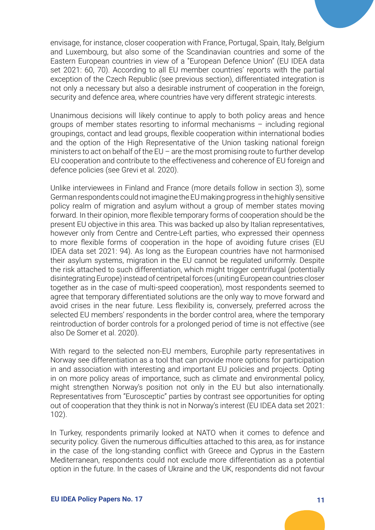envisage, for instance, closer cooperation with France, Portugal, Spain, Italy, Belgium and Luxembourg, but also some of the Scandinavian countries and some of the Eastern European countries in view of a "European Defence Union" (EU IDEA data set 2021: 60, 70). According to all EU member countries' reports with the partial exception of the Czech Republic (see previous section), differentiated integration is not only a necessary but also a desirable instrument of cooperation in the foreign, security and defence area, where countries have very different strategic interests.

Unanimous decisions will likely continue to apply to both policy areas and hence groups of member states resorting to informal mechanisms – including regional groupings, contact and lead groups, flexible cooperation within international bodies and the option of the High Representative of the Union tasking national foreign ministers to act on behalf of the  $EU$  – are the most promising route to further develop EU cooperation and contribute to the effectiveness and coherence of EU foreign and defence policies (see Grevi et al. 2020).

Unlike interviewees in Finland and France (more details follow in section 3), some German respondents could not imagine the EU making progress in the highly sensitive policy realm of migration and asylum without a group of member states moving forward. In their opinion, more flexible temporary forms of cooperation should be the present EU objective in this area. This was backed up also by Italian representatives, however only from Centre and Centre-Left parties, who expressed their openness to more flexible forms of cooperation in the hope of avoiding future crises (EU IDEA data set 2021: 94). As long as the European countries have not harmonised their asylum systems, migration in the EU cannot be regulated uniformly. Despite the risk attached to such differentiation, which might trigger centrifugal (potentially disintegrating Europe) instead of centripetal forces (uniting European countries closer together as in the case of multi-speed cooperation), most respondents seemed to agree that temporary differentiated solutions are the only way to move forward and avoid crises in the near future. Less flexibility is, conversely, preferred across the selected EU members' respondents in the border control area, where the temporary reintroduction of border controls for a prolonged period of time is not effective (see also De Somer et al. 2020).

With regard to the selected non-EU members, Europhile party representatives in Norway see differentiation as a tool that can provide more options for participation in and association with interesting and important EU policies and projects. Opting in on more policy areas of importance, such as climate and environmental policy, might strengthen Norway's position not only in the EU but also internationally. Representatives from "Eurosceptic" parties by contrast see opportunities for opting out of cooperation that they think is not in Norway's interest (EU IDEA data set 2021: 102).

In Turkey, respondents primarily looked at NATO when it comes to defence and security policy. Given the numerous difficulties attached to this area, as for instance in the case of the long-standing conflict with Greece and Cyprus in the Eastern Mediterranean, respondents could not exclude more differentiation as a potential option in the future. In the cases of Ukraine and the UK, respondents did not favour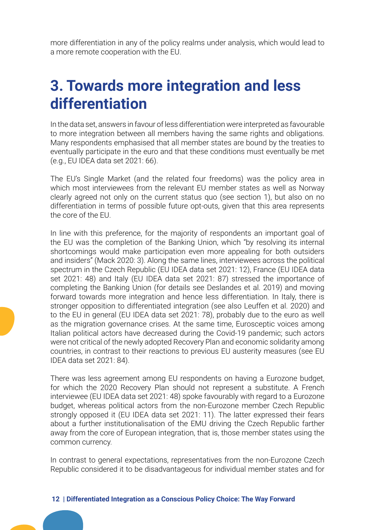more differentiation in any of the policy realms under analysis, which would lead to a more remote cooperation with the EU.

# **3. Towards more integration and less differentiation**

In the data set, answers in favour of less differentiation were interpreted as favourable to more integration between all members having the same rights and obligations. Many respondents emphasised that all member states are bound by the treaties to eventually participate in the euro and that these conditions must eventually be met (e.g., EU IDEA data set 2021: 66).

The EU's Single Market (and the related four freedoms) was the policy area in which most interviewees from the relevant EU member states as well as Norway clearly agreed not only on the current status quo (see section 1), but also on no differentiation in terms of possible future opt-outs, given that this area represents the core of the EU.

In line with this preference, for the majority of respondents an important goal of the EU was the completion of the Banking Union, which "by resolving its internal shortcomings would make participation even more appealing for both outsiders and insiders" (Mack 2020: 3). Along the same lines, interviewees across the political spectrum in the Czech Republic (EU IDEA data set 2021: 12), France (EU IDEA data set 2021: 48) and Italy (EU IDEA data set 2021: 87) stressed the importance of completing the Banking Union (for details see Deslandes et al. 2019) and moving forward towards more integration and hence less differentiation. In Italy, there is stronger opposition to differentiated integration (see also Leuffen et al. 2020) and to the EU in general (EU IDEA data set 2021: 78), probably due to the euro as well as the migration governance crises. At the same time, Eurosceptic voices among Italian political actors have decreased during the Covid-19 pandemic; such actors were not critical of the newly adopted Recovery Plan and economic solidarity among countries, in contrast to their reactions to previous EU austerity measures (see EU IDEA data set 2021: 84).

There was less agreement among EU respondents on having a Eurozone budget, for which the 2020 Recovery Plan should not represent a substitute. A French interviewee (EU IDEA data set 2021: 48) spoke favourably with regard to a Eurozone budget, whereas political actors from the non-Eurozone member Czech Republic strongly opposed it (EU IDEA data set 2021: 11). The latter expressed their fears about a further institutionalisation of the EMU driving the Czech Republic farther away from the core of European integration, that is, those member states using the common currency.

In contrast to general expectations, representatives from the non-Eurozone Czech Republic considered it to be disadvantageous for individual member states and for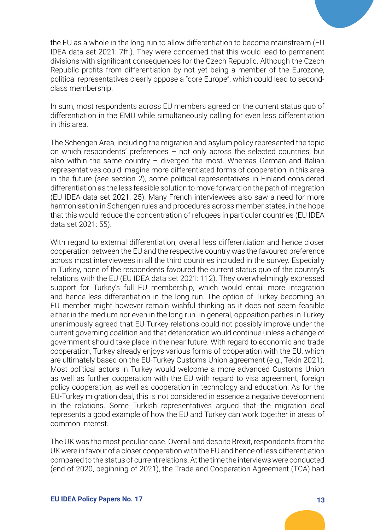the EU as a whole in the long run to allow differentiation to become mainstream (EU IDEA data set 2021: 7ff.). They were concerned that this would lead to permanent divisions with significant consequences for the Czech Republic. Although the Czech Republic profits from differentiation by not yet being a member of the Eurozone, political representatives clearly oppose a "core Europe", which could lead to secondclass membership.

In sum, most respondents across EU members agreed on the current status quo of differentiation in the EMU while simultaneously calling for even less differentiation in this area.

The Schengen Area, including the migration and asylum policy represented the topic on which respondents' preferences – not only across the selected countries, but also within the same country  $-$  diverged the most. Whereas German and Italian representatives could imagine more differentiated forms of cooperation in this area in the future (see section 2), some political representatives in Finland considered differentiation as the less feasible solution to move forward on the path of integration (EU IDEA data set 2021: 25). Many French interviewees also saw a need for more harmonisation in Schengen rules and procedures across member states, in the hope that this would reduce the concentration of refugees in particular countries (EU IDEA data set 2021: 55).

With regard to external differentiation, overall less differentiation and hence closer cooperation between the EU and the respective country was the favoured preference across most interviewees in all the third countries included in the survey. Especially in Turkey, none of the respondents favoured the current status quo of the country's relations with the EU (EU IDEA data set 2021: 112). They overwhelmingly expressed support for Turkey's full EU membership, which would entail more integration and hence less differentiation in the long run. The option of Turkey becoming an EU member might however remain wishful thinking as it does not seem feasible either in the medium nor even in the long run. In general, opposition parties in Turkey unanimously agreed that EU-Turkey relations could not possibly improve under the current governing coalition and that deterioration would continue unless a change of government should take place in the near future. With regard to economic and trade cooperation, Turkey already enjoys various forms of cooperation with the EU, which are ultimately based on the EU-Turkey Customs Union agreement (e.g., Tekin 2021). Most political actors in Turkey would welcome a more advanced Customs Union as well as further cooperation with the EU with regard to visa agreement, foreign policy cooperation, as well as cooperation in technology and education. As for the EU-Turkey migration deal, this is not considered in essence a negative development in the relations. Some Turkish representatives argued that the migration deal represents a good example of how the EU and Turkey can work together in areas of common interest.

The UK was the most peculiar case. Overall and despite Brexit, respondents from the UK were in favour of a closer cooperation with the EU and hence of less differentiation compared to the status of current relations. At the time the interviews were conducted (end of 2020, beginning of 2021), the Trade and Cooperation Agreement (TCA) had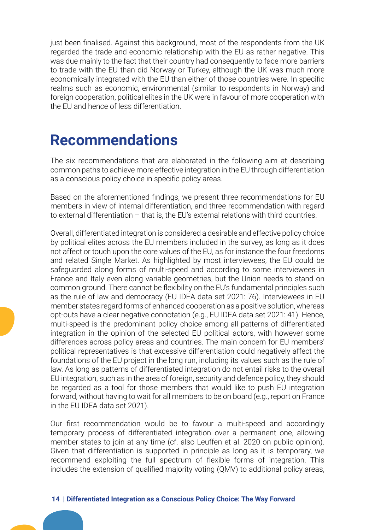just been finalised. Against this background, most of the respondents from the UK regarded the trade and economic relationship with the EU as rather negative. This was due mainly to the fact that their country had consequently to face more barriers to trade with the EU than did Norway or Turkey, although the UK was much more economically integrated with the EU than either of those countries were. In specific realms such as economic, environmental (similar to respondents in Norway) and foreign cooperation, political elites in the UK were in favour of more cooperation with the EU and hence of less differentiation.

#### **Recommendations**

The six recommendations that are elaborated in the following aim at describing common paths to achieve more effective integration in the EU through differentiation as a conscious policy choice in specific policy areas.

Based on the aforementioned findings, we present three recommendations for EU members in view of internal differentiation, and three recommendation with regard to external differentiation – that is, the EU's external relations with third countries.

Overall, differentiated integration is considered a desirable and effective policy choice by political elites across the EU members included in the survey, as long as it does not affect or touch upon the core values of the EU, as for instance the four freedoms and related Single Market. As highlighted by most interviewees, the EU could be safeguarded along forms of multi-speed and according to some interviewees in France and Italy even along variable geometries, but the Union needs to stand on common ground. There cannot be flexibility on the EU's fundamental principles such as the rule of law and democracy (EU IDEA data set 2021: 76). Interviewees in EU member states regard forms of enhanced cooperation as a positive solution, whereas opt-outs have a clear negative connotation (e.g., EU IDEA data set 2021: 41). Hence, multi-speed is the predominant policy choice among all patterns of differentiated integration in the opinion of the selected EU political actors, with however some differences across policy areas and countries. The main concern for EU members' political representatives is that excessive differentiation could negatively affect the foundations of the EU project in the long run, including its values such as the rule of law. As long as patterns of differentiated integration do not entail risks to the overall EU integration, such as in the area of foreign, security and defence policy, they should be regarded as a tool for those members that would like to push EU integration forward, without having to wait for all members to be on board (e.g., report on France in the EU IDEA data set 2021).

Our first recommendation would be to favour a multi-speed and accordingly temporary process of differentiated integration over a permanent one, allowing member states to join at any time (cf. also Leuffen et al. 2020 on public opinion). Given that differentiation is supported in principle as long as it is temporary, we recommend exploiting the full spectrum of flexible forms of integration. This includes the extension of qualified majority voting (QMV) to additional policy areas,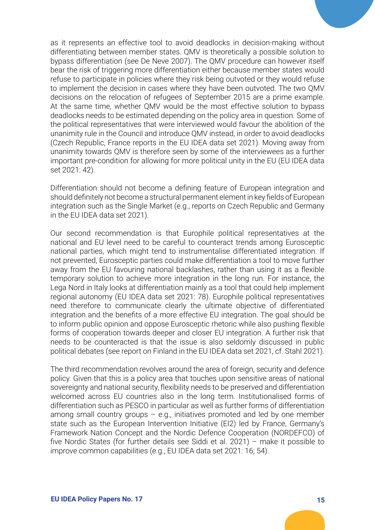as it represents an effective tool to avoid deadlocks in decision-making without differentiating between member states. QMV is theoretically a possible solution to bypass differentiation (see De Neve 2007). The QMV procedure can however itself bear the risk of triggering more differentiation either because member states would refuse to participate in policies where they risk being outvoted or they would refuse to implement the decision in cases where they have been outvoted. The two QMV decisions on the relocation of refugees of September 2015 are a prime example. At the same time, whether QMV would be the most effective solution to bypass deadlocks needs to be estimated depending on the policy area in question. Some of the political representatives that were interviewed would favour the abolition of the unanimity rule in the Council and introduce QMV instead, in order to avoid deadlocks (Czech Republic, France reports in the EU IDEA data set 2021). Moving away from unanimity towards QMV is therefore seen by some of the interviewees as a further important pre-condition for allowing for more political unity in the EU (EU IDEA data set 2021: 42).

Differentiation should not become a defining feature of European integration and should definitely not become a structural permanent element in key fields of European integration such as the Single Market (e.g., reports on Czech Republic and Germany in the EU IDEA data set 2021).

Our second recommendation is that Europhile political representatives at the national and EU level need to be careful to counteract trends among Eurosceptic national parties, which might tend to instrumentalise differentiated integration. If not prevented, Eurosceptic parties could make differentiation a tool to move further away from the EU favouring national backlashes, rather than using it as a flexible temporary solution to achieve more integration in the long run. For instance, the Lega Nord in Italy looks at differentiation mainly as a tool that could help implement regional autonomy (EU IDEA data set 2021: 78). Europhile political representatives need therefore to communicate clearly the ultimate objective of differentiated integration and the benefits of a more effective EU integration. The goal should be to inform public opinion and oppose Eurosceptic rhetoric while also pushing flexible forms of cooperation towards deeper and closer EU integration. A further risk that needs to be counteracted is that the issue is also seldomly discussed in public political debates (see report on Finland in the EU IDEA data set 2021, cf. Stahl 2021).

The third recommendation revolves around the area of foreign, security and defence policy. Given that this is a policy area that touches upon sensitive areas of national sovereignty and national security, flexibility needs to be preserved and differentiation welcomed across EU countries also in the long term. Institutionalised forms of differentiation such as PESCO in particular as well as further forms of differentiation among small country groups  $-$  e.g., initiatives promoted and led by one member state such as the European Intervention Initiative (EI2) led by France, Germany's Framework Nation Concept and the Nordic Defence Cooperation (NORDEFCO) of five Nordic States (for further details see Siddi et al. 2021) – make it possible to improve common capabilities (e.g., EU IDEA data set 2021: 16; 54).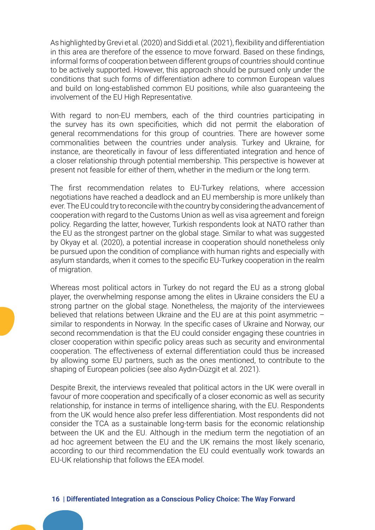As highlighted by Grevi et al. (2020) and Siddi et al. (2021), flexibility and differentiation in this area are therefore of the essence to move forward. Based on these findings, informal forms of cooperation between different groups of countries should continue to be actively supported. However, this approach should be pursued only under the conditions that such forms of differentiation adhere to common European values and build on long-established common EU positions, while also guaranteeing the involvement of the EU High Representative.

With regard to non-EU members, each of the third countries participating in the survey has its own specificities, which did not permit the elaboration of general recommendations for this group of countries. There are however some commonalities between the countries under analysis. Turkey and Ukraine, for instance, are theoretically in favour of less differentiated integration and hence of a closer relationship through potential membership. This perspective is however at present not feasible for either of them, whether in the medium or the long term.

The first recommendation relates to EU-Turkey relations, where accession negotiations have reached a deadlock and an EU membership is more unlikely than ever. The EU could try to reconcile with the country by considering the advancement of cooperation with regard to the Customs Union as well as visa agreement and foreign policy. Regarding the latter, however, Turkish respondents look at NATO rather than the EU as the strongest partner on the global stage. Similar to what was suggested by Okyay et al. (2020), a potential increase in cooperation should nonetheless only be pursued upon the condition of compliance with human rights and especially with asylum standards, when it comes to the specific EU-Turkey cooperation in the realm of migration.

Whereas most political actors in Turkey do not regard the EU as a strong global player, the overwhelming response among the elites in Ukraine considers the EU a strong partner on the global stage. Nonetheless, the majority of the interviewees believed that relations between Ukraine and the EU are at this point asymmetric – similar to respondents in Norway. In the specific cases of Ukraine and Norway, our second recommendation is that the EU could consider engaging these countries in closer cooperation within specific policy areas such as security and environmental cooperation. The effectiveness of external differentiation could thus be increased by allowing some EU partners, such as the ones mentioned, to contribute to the shaping of European policies (see also Aydın-Düzgit et al. 2021).

Despite Brexit, the interviews revealed that political actors in the UK were overall in favour of more cooperation and specifically of a closer economic as well as security relationship, for instance in terms of intelligence sharing, with the EU. Respondents from the UK would hence also prefer less differentiation. Most respondents did not consider the TCA as a sustainable long-term basis for the economic relationship between the UK and the EU. Although in the medium term the negotiation of an ad hoc agreement between the EU and the UK remains the most likely scenario, according to our third recommendation the EU could eventually work towards an EU-UK relationship that follows the EEA model.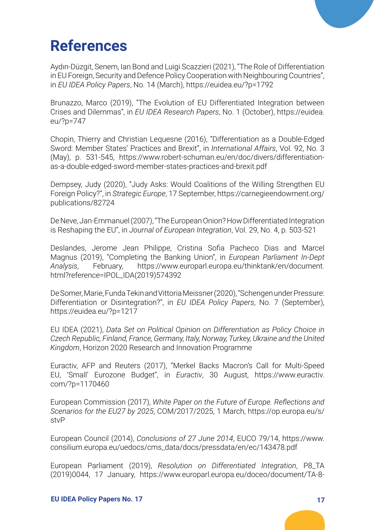

# **References**

Aydın-Düzgit, Senem, Ian Bond and Luigi Scazzieri (2021), "The Role of Differentiation in EU Foreign, Security and Defence Policy Cooperation with Neighbouring Countries", in *EU IDEA Policy Papers*, No. 14 (March), <https://euidea.eu/?p=1792>

Brunazzo, Marco (2019), "The Evolution of EU Differentiated Integration between Crises and Dilemmas", in *EU IDEA Research Papers*, No. 1 (October), [https://euidea.](https://euidea.eu/?p=747) [eu/?p=747](https://euidea.eu/?p=747)

Chopin, Thierry and Christian Lequesne (2016), "Differentiation as a Double-Edged Sword: Member States' Practices and Brexit", in *International Affairs*, Vol. 92, No. 3 (May), p. 531-545, [https://www.robert-schuman.eu/en/doc/divers/differentiation](https://www.robert-schuman.eu/en/doc/divers/differentiation-as-a-double-edged-sword-member-states-practices-and-brexit.pdf)[as-a-double-edged-sword-member-states-practices-and-brexit.pdf](https://www.robert-schuman.eu/en/doc/divers/differentiation-as-a-double-edged-sword-member-states-practices-and-brexit.pdf)

Dempsey, Judy (2020), "Judy Asks: Would Coalitions of the Willing Strengthen EU Foreign Policy?", in *Strategic Europe*, 17 September, [https://carnegieendowment.org/](https://carnegieendowment.org/publications/82724) [publications/82724](https://carnegieendowment.org/publications/82724)

De Neve, Jan-Emmanuel (2007), "The European Onion? How Differentiated Integration is Reshaping the EU", in *Journal of European Integration*, Vol. 29, No. 4, p. 503-521

Deslandes, Jerome Jean Philippe, Cristina Sofia Pacheco Dias and Marcel Magnus (2019), "Completing the Banking Union", in *European Parliament In-Dept Analysis*, February, [https://www.europarl.europa.eu/thinktank/en/document.](https://www.europarl.europa.eu/thinktank/en/document.html?reference=IPOL_IDA(2019)574392) [html?reference=IPOL\\_IDA\(2019\)574392](https://www.europarl.europa.eu/thinktank/en/document.html?reference=IPOL_IDA(2019)574392)

De Somer, Marie, Funda Tekin and Vittoria Meissner (2020), "Schengen under Pressure: Differentiation or Disintegration?", in *EU IDEA Policy Papers*, No. 7 (September), <https://euidea.eu/?p=1217>

EU IDEA (2021), *Data Set on Political Opinion on Differentiation as Policy Choice in Czech Republic, Finland, France, Germany, Italy, Norway, Turkey, Ukraine and the United Kingdom*, Horizon 2020 Research and Innovation Programme

Euractiv, AFP and Reuters (2017), "Merkel Backs Macron's Call for Multi-Speed EU, 'Small' Eurozone Budget", in *Euractiv*, 30 August, [https://www.euractiv.](https://www.euractiv.com/?p=1170460) [com/?p=1170460](https://www.euractiv.com/?p=1170460)

European Commission (2017), *White Paper on the Future of Europe. Reflections and Scenarios for the EU27 by 2025*, COM/2017/2025, 1 March, [https://op.europa.eu/s/](https://op.europa.eu/s/stvP) [stvP](https://op.europa.eu/s/stvP)

European Council (2014), *Conclusions of 27 June 2014*, EUCO 79/14, [https://www.](https://www.consilium.europa.eu/uedocs/cms_data/docs/pressdata/en/ec/143478.pdf) [consilium.europa.eu/uedocs/cms\\_data/docs/pressdata/en/ec/143478.pdf](https://www.consilium.europa.eu/uedocs/cms_data/docs/pressdata/en/ec/143478.pdf)

European Parliament (2019), *Resolution on Differentiated Integration*, P8\_TA (2019)0044, 17 January, [https://www.europarl.europa.eu/doceo/document/TA-8-](https://www.europarl.europa.eu/doceo/document/TA-8-2019-0044_EN.html)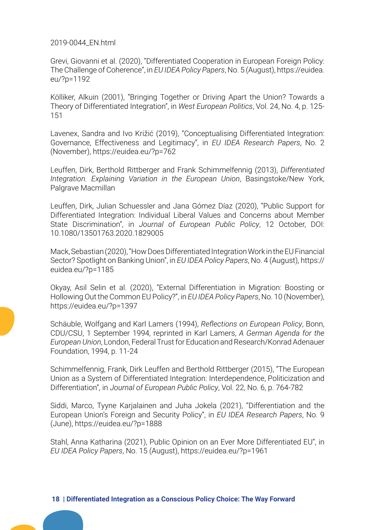[2019-0044\\_EN.html](https://www.europarl.europa.eu/doceo/document/TA-8-2019-0044_EN.html)

Grevi, Giovanni et al. (2020), "Differentiated Cooperation in European Foreign Policy: The Challenge of Coherence", in *EU IDEA Policy Papers*, No. 5 (August), [https://euidea.](https://euidea.eu/?p=1192) [eu/?p=1192](https://euidea.eu/?p=1192)

Kölliker, Alkuin (2001), "Bringing Together or Driving Apart the Union? Towards a Theory of Differentiated Integration", in *West European Politics*, Vol. 24, No. 4, p. 125- 151

Lavenex, Sandra and Ivo Križić (2019), "Conceptualising Differentiated Integration: Governance, Effectiveness and Legitimacy", in *EU IDEA Research Papers*, No. 2 (November), <https://euidea.eu/?p=762>

Leuffen, Dirk, Berthold Rittberger and Frank Schimmelfennig (2013), *Differentiated Integration. Explaining Variation in the European Union*, Basingstoke/New York, Palgrave Macmillan

Leuffen, Dirk, Julian Schuessler and Jana Gómez Díaz (2020), "Public Support for Differentiated Integration: Individual Liberal Values and Concerns about Member State Discrimination", in *Journal of European Public Policy*, 12 October, DOI: 10.1080/13501763.2020.1829005

Mack, Sebastian (2020), "How Does Differentiated Integration Work in the EU Financial Sector? Spotlight on Banking Union", in *EU IDEA Policy Papers*, No. 4 (August), [https://](https://euidea.eu/?p=1185) [euidea.eu/?p=1185](https://euidea.eu/?p=1185)

Okyay, Asil Selin et al. (2020), "External Differentiation in Migration: Boosting or Hollowing Out the Common EU Policy?", in *EU IDEA Policy Papers*, No. 10 (November), <https://euidea.eu/?p=1397>

Schäuble, Wolfgang and Karl Lamers (1994), *Reflections on European Policy*, Bonn, CDU/CSU, 1 September 1994, reprinted in Karl Lamers, *A German Agenda for the European Union*, London, Federal Trust for Education and Research/Konrad Adenauer Foundation, 1994, p. 11-24

Schimmelfennig, Frank, Dirk Leuffen and Berthold Rittberger (2015), "The European Union as a System of Differentiated Integration: Interdependence, Politicization and Differentiation", in *Journal of European Public Policy*, Vol. 22, No. 6, p. 764-782

Siddi, Marco, Tyyne Karjalainen and Juha Jokela (2021), "Differentiation and the European Union's Foreign and Security Policy", in *EU IDEA Research Papers*, No. 9 (June), <https://euidea.eu/?p=1888>

Stahl, Anna Katharina (2021), Public Opinion on an Ever More Differentiated EU", in *EU IDEA Policy Papers*, No. 15 (August),<https://euidea.eu/?p=1961>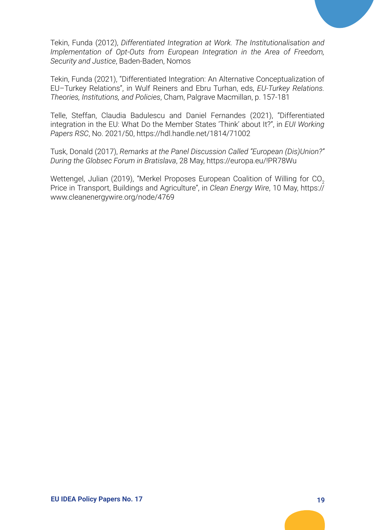Tekin, Funda (2012), *Differentiated Integration at Work. The Institutionalisation and Implementation of Opt-Outs from European Integration in the Area of Freedom, Security and Justice*, Baden-Baden, Nomos

Tekin, Funda (2021), "Differentiated Integration: An Alternative Conceptualization of EU–Turkey Relations", in Wulf Reiners and Ebru Turhan, eds, *EU-Turkey Relations. Theories, Institutions, and Policies*, Cham, Palgrave Macmillan, p. 157-181

Telle, Steffan, Claudia Badulescu and Daniel Fernandes (2021), "Differentiated integration in the EU: What Do the Member States 'Think' about It?", in *EUI Working Papers RSC*, No. 2021/50, <https://hdl.handle.net/1814/71002>

Tusk, Donald (2017), *Remarks at the Panel Discussion Called "European (Dis)Union?" During the Globsec Forum in Bratislava*, 28 May,<https://europa.eu/!PR78Wu>

Wettengel, Julian (2019), "Merkel Proposes European Coalition of Willing for CO<sub>2</sub> Price in Transport, Buildings and Agriculture", in *Clean Energy Wire*, 10 May, [https://](https://www.cleanenergywire.org/node/4769) [www.cleanenergywire.org/node/4769](https://www.cleanenergywire.org/node/4769)